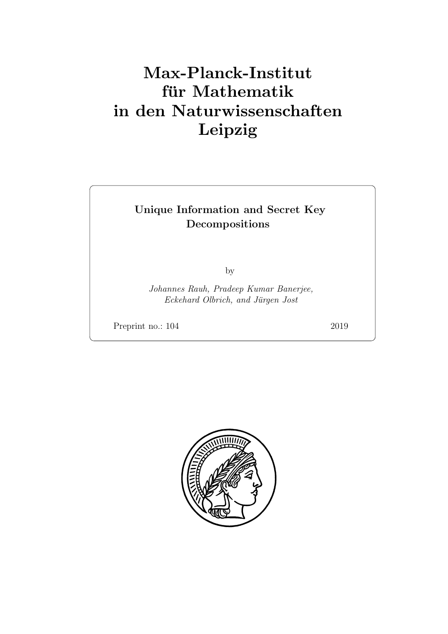# Max-Planck-Institut für Mathematik in den Naturwissenschaften Leipzig

# Unique Information and Secret Key Decompositions

by

Johannes Rauh, Pradeep Kumar Banerjee, Eckehard Olbrich, and Jürgen Jost

Preprint no.: 104 2019

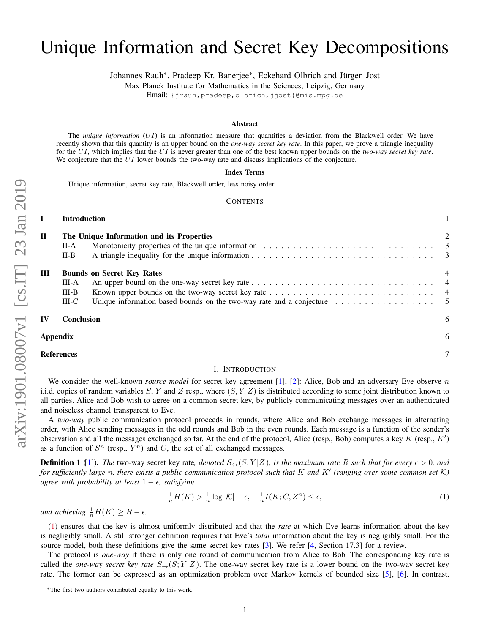# Unique Information and Secret Key Decompositions

Johannes Rauh<sup>∗</sup> , Pradeep Kr. Banerjee<sup>∗</sup> , Eckehard Olbrich and Jürgen Jost

Max Planck Institute for Mathematics in the Sciences, Leipzig, Germany

Email: {jrauh, pradeep, olbrich, jjost}@mis.mpg.de

#### Abstract

The *unique information* (UI) is an information measure that quantifies a deviation from the Blackwell order. We have recently shown that this quantity is an upper bound on the *one-way secret key rate*. In this paper, we prove a triangle inequality for the UI, which implies that the UI is never greater than one of the best known upper bounds on the *two-way secret key rate*. We conjecture that the UI lower bounds the two-way rate and discuss implications of the conjecture.

#### Index Terms

Unique information, secret key rate, Blackwell order, less noisy order.

#### **CONTENTS**

# I Introduction [1](#page-2-0)

| $\bf{I}$          | The Unique Information and its Properties |                                                                                                            | 2 |
|-------------------|-------------------------------------------|------------------------------------------------------------------------------------------------------------|---|
|                   | $II-A$                                    |                                                                                                            |   |
|                   | $II-B$                                    |                                                                                                            |   |
| Ш                 | <b>Bounds on Secret Key Rates</b>         |                                                                                                            | 4 |
|                   | III-A                                     |                                                                                                            |   |
|                   | $III-B$                                   |                                                                                                            |   |
|                   | $III-C$                                   | Unique information based bounds on the two-way rate and a conjecture $\dots \dots \dots \dots \dots \dots$ |   |
| IV                | <b>Conclusion</b>                         |                                                                                                            | 6 |
| Appendix          |                                           | 6                                                                                                          |   |
| <b>References</b> |                                           |                                                                                                            |   |

#### <span id="page-2-1"></span>I. INTRODUCTION

<span id="page-2-0"></span>We consider the well-known *source model* for secret key agreement [\[1\]](#page-8-1), [\[2\]](#page-8-2): Alice, Bob and an adversary Eve observe n i.i.d. copies of random variables S, Y and Z resp., where  $(S, Y, Z)$  is distributed according to some joint distribution known to all parties. Alice and Bob wish to agree on a common secret key, by publicly communicating messages over an authenticated and noiseless channel transparent to Eve.

A *two-way* public communication protocol proceeds in rounds, where Alice and Bob exchange messages in alternating order, with Alice sending messages in the odd rounds and Bob in the even rounds. Each message is a function of the sender's observation and all the messages exchanged so far. At the end of the protocol, Alice (resp., Bob) computes a key  $K$  (resp.,  $K'$ ) as a function of  $S<sup>n</sup>$  (resp.,  $Y<sup>n</sup>$ ) and C, the set of all exchanged messages.

**Definition 1** ([\[1\]](#page-8-1)). The two-way secret key rate, denoted  $S_{\leftrightarrow}(S;Y|Z)$ , is the maximum rate R such that for every  $\epsilon > 0$ , and for sufficiently large n, there exists a public communication protocol such that K and K' (ranging over some common set K) *agree with probability at least*  $1 - \epsilon$ *, satisfying* 

$$
\frac{1}{n}H(K) > \frac{1}{n}\log|\mathcal{K}| - \epsilon, \quad \frac{1}{n}I(K; C, Z^n) \le \epsilon,\tag{1}
$$

*and achieving*  $\frac{1}{n}H(K) \geq R - \epsilon$ .

[\(1\)](#page-2-1) ensures that the key is almost uniformly distributed and that the *rate* at which Eve learns information about the key is negligibly small. A still stronger definition requires that Eve's *total* information about the key is negligibly small. For the source model, both these definitions give the same secret key rates [\[3\]](#page-8-3). We refer [\[4,](#page-8-4) Section 17.3] for a review.

The protocol is *one-way* if there is only one round of communication from Alice to Bob. The corresponding key rate is called the *one-way secret key rate*  $S_{\rightarrow}(S; Y|Z)$ . The one-way secret key rate is a lower bound on the two-way secret key rate. The former can be expressed as an optimization problem over Markov kernels of bounded size [\[5\]](#page-8-5), [\[6\]](#page-8-6). In contrast,

<sup>∗</sup>The first two authors contributed equally to this work.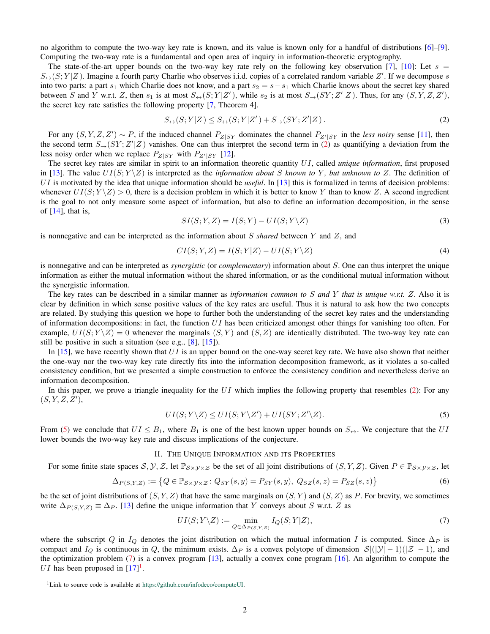no algorithm to compute the two-way key rate is known, and its value is known only for a handful of distributions [\[6\]](#page-8-6)–[\[9\]](#page-8-7). Computing the two-way rate is a fundamental and open area of inquiry in information-theoretic cryptography.

The state-of-the-art upper bounds on the two-way key rate rely on the following key observation [\[7\]](#page-8-8), [\[10\]](#page-8-9): Let  $s =$  $S_{\leftrightarrow}(S;Y|Z)$ . Imagine a fourth party Charlie who observes i.i.d. copies of a correlated random variable Z'. If we decompose s into two parts: a part s<sub>1</sub> which Charlie does not know, and a part s<sub>2</sub> = s - s<sub>1</sub> which Charlie knows about the secret key shared between S and Y w.r.t. Z, then  $s_1$  is at most  $S_{\leftrightarrow}(S;Y|Z')$ , while  $s_2$  is at most  $S_{\rightarrow}(SY;Z'|Z)$ . Thus, for any  $(S, Y, Z, Z')$ , the secret key rate satisfies the following property [\[7,](#page-8-8) Theorem 4].

<span id="page-3-1"></span>
$$
S_{\leftrightarrow}(S;Y|Z) \le S_{\leftrightarrow}(S;Y|Z') + S_{\rightarrow}(SY;Z'|Z). \tag{2}
$$

For any  $(S, Y, Z, Z') \sim P$ , if the induced channel  $P_{Z|SY}$  dominates the channel  $P_{Z'|SY}$  in the *less noisy* sense [\[11\]](#page-8-10), then the second term  $S_{\rightarrow}(SY;Z'|Z)$  vanishes. One can thus interpret the second term in [\(2\)](#page-3-1) as quantifying a deviation from the less noisy order when we replace  $P_{Z|SY}$  with  $P_{Z'|SY}$  [\[12\]](#page-8-11).

The secret key rates are similar in spirit to an information theoretic quantity UI, called *unique information*, first proposed in [\[13\]](#page-8-12). The value  $UI(S; Y \setminus Z)$  is interpreted as the *information about* S known to Y, but unknown to Z. The definition of UI is motivated by the idea that unique information should be *useful*. In [\[13\]](#page-8-12) this is formalized in terms of decision problems: whenever  $UI(S: Y \ X) > 0$ , there is a decision problem in which it is better to know Y than to know Z. A second ingredient is the goal to not only measure some aspect of information, but also to define an information decomposition, in the sense of  $[14]$ , that is,

<span id="page-3-5"></span>
$$
SI(S; Y, Z) = I(S; Y) - UI(S; Y \backslash Z)
$$
\n(3)

is nonnegative and can be interpreted as the information about S *shared* between Y and Z, and

<span id="page-3-6"></span>
$$
CI(S; Y, Z) = I(S; Y|Z) - UI(S; Y \backslash Z)
$$
\n<sup>(4)</sup>

is nonnegative and can be interpreted as *synergistic* (or *complementary*) information about S. One can thus interpret the unique information as either the mutual information without the shared information, or as the conditional mutual information without the synergistic information.

The key rates can be described in a similar manner as *information common to* S *and* Y *that is unique w.r.t.* Z. Also it is clear by definition in which sense positive values of the key rates are useful. Thus it is natural to ask how the two concepts are related. By studying this question we hope to further both the understanding of the secret key rates and the understanding of information decompositions: in fact, the function  $UI$  has been criticized amongst other things for vanishing too often. For example,  $UI(S; Y \mid Z) = 0$  whenever the marginals  $(S, Y)$  and  $(S, Z)$  are identically distributed. The two-way key rate can still be positive in such a situation (see e.g., [\[8\]](#page-8-14), [\[15\]](#page-8-15)).

In  $[15]$ , we have recently shown that UI is an upper bound on the one-way secret key rate. We have also shown that neither the one-way nor the two-way key rate directly fits into the information decomposition framework, as it violates a so-called consistency condition, but we presented a simple construction to enforce the consistency condition and nevertheless derive an information decomposition.

In this paper, we prove a triangle inequality for the  $UI$  which implies the following property that resembles [\(2\)](#page-3-1): For any  $(S, Y, Z, Z'),$ 

<span id="page-3-2"></span>
$$
UI(S; Y \setminus Z) \leq UI(S; Y \setminus Z') + UI(SY; Z' \setminus Z). \tag{5}
$$

From [\(5\)](#page-3-2) we conclude that  $UI \leq B_1$ , where  $B_1$  is one of the best known upper bounds on  $S_{\leftrightarrow}$ . We conjecture that the UI lower bounds the two-way key rate and discuss implications of the conjecture.

### II. THE UNIQUE INFORMATION AND ITS PROPERTIES

<span id="page-3-0"></span>For some finite state spaces S,  $\mathcal{Y}, \mathcal{Z}$ , let  $\mathbb{P}_{\mathcal{S}\times\mathcal{Y}\times\mathcal{Z}}$  be the set of all joint distributions of  $(S, Y, Z)$ . Given  $P \in \mathbb{P}_{\mathcal{S}\times\mathcal{Y}\times\mathcal{Z}}$ , let

$$
\Delta_{P(S,Y,Z)} := \left\{ Q \in \mathbb{P}_{\mathcal{S} \times \mathcal{Y} \times \mathcal{Z}} \colon Q_{SY}(s, y) = P_{SY}(s, y), \ Q_{SZ}(s, z) = P_{SZ}(s, z) \right\}
$$
(6)

be the set of joint distributions of  $(S, Y, Z)$  that have the same marginals on  $(S, Y)$  and  $(S, Z)$  as P. For brevity, we sometimes write  $\Delta_{P(S,Y,Z)} \equiv \Delta_P$ . [\[13\]](#page-8-12) define the unique information that Y conveys about S w.r.t. Z as

<span id="page-3-3"></span>
$$
UI(S; Y \setminus Z) := \min_{Q \in \Delta_{P(S,Y,Z)}} I_Q(S; Y|Z),\tag{7}
$$

where the subscript Q in  $I_Q$  denotes the joint distribution on which the mutual information I is computed. Since  $\Delta_P$  is compact and  $I_Q$  is continuous in Q, the minimum exists.  $\Delta_P$  is a convex polytope of dimension  $|S|(|\mathcal{Y}| - 1)(|\mathcal{Z}| - 1)$ , and the optimization problem [\(7\)](#page-3-3) is a convex program [\[13\]](#page-8-12), actually a convex cone program [\[16\]](#page-8-16). An algorithm to compute the UI has been proposed in  $[17]$ <sup>[1](#page-3-4)</sup>.

<span id="page-3-4"></span><sup>&</sup>lt;sup>1</sup>Link to source code is available at [https://github.com/infodeco/computeUI.](https://github.com/infodeco/computeUI)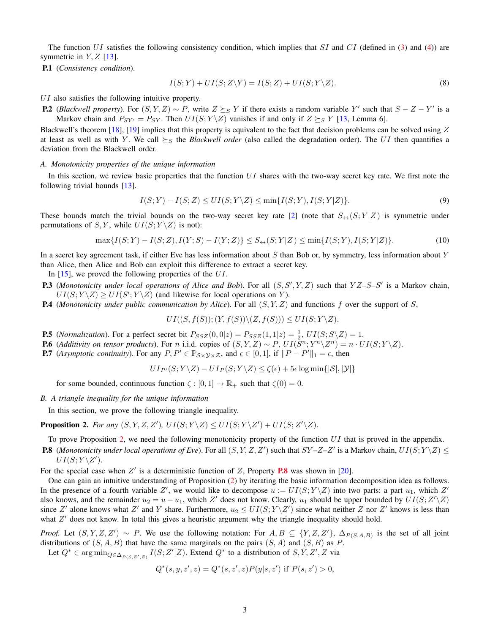The function  $UI$  satisfies the following consistency condition, which implies that  $SI$  and  $CI$  (defined in [\(3\)](#page-3-5) and [\(4\)](#page-3-6)) are symmetric in  $Y, Z$  [\[13\]](#page-8-12).

P.1 (*Consistency condition*).

$$
I(S;Y) + UI(S;Z\backslash Y) = I(S;Z) + UI(S;Y\backslash Z). \tag{8}
$$

UI also satisfies the following intuitive property.

<span id="page-4-5"></span>**P.2** (*Blackwell property*). For  $(S, Y, Z) \sim P$ , write  $Z \succeq_S Y$  if there exists a random variable Y' such that  $S - Z - Y'$  is a Markov chain and  $P_{SY'} = P_{SY}$ . Then  $UI(S; Y \setminus Z)$  vanishes if and only if  $Z \succeq_S Y$  [\[13,](#page-8-12) Lemma 6].

Blackwell's theorem [\[18\]](#page-8-18), [\[19\]](#page-8-19) implies that this property is equivalent to the fact that decision problems can be solved using Z at least as well as with Y. We call  $\succeq_S$  the *Blackwell order* (also called the degradation order). The UI then quantifies a deviation from the Blackwell order.

#### <span id="page-4-0"></span>*A. Monotonicity properties of the unique information*

In this section, we review basic properties that the function  $UI$  shares with the two-way secret key rate. We first note the following trivial bounds [\[13\]](#page-8-12).

$$
I(S;Y) - I(S;Z) \leq UI(S;Y\setminus Z) \leq \min\{I(S;Y), I(S;Y|Z)\}.
$$
\n
$$
(9)
$$

These bounds match the trivial bounds on the two-way secret key rate [\[2\]](#page-8-2) (note that  $S_{\leftrightarrow}(S; Y|Z)$  is symmetric under permutations of  $S, Y$ , while  $UI(S; Y \ X)$  is not):

$$
\max\{I(S;Y) - I(S;Z), I(Y;S) - I(Y;Z)\} \le S_{\leftrightarrow}(S;Y|Z) \le \min\{I(S;Y), I(S;Y|Z)\}.
$$
\n(10)

In a secret key agreement task, if either Eve has less information about  $S$  than Bob or, by symmetry, less information about  $Y$ than Alice, then Alice and Bob can exploit this difference to extract a secret key.

In [\[15\]](#page-8-15), we proved the following properties of the UI.

- <span id="page-4-4"></span>**P.3** (Monotonicity under local operations of Alice and Bob). For all  $(S, S', Y, Z)$  such that  $YZ-S-S'$  is a Markov chain,  $UI(S; Y \setminus Z) \geq UI(S'; Y \setminus Z)$  (and likewise for local operations on Y).
- P.4 (*Monotonicity under public communication by Alice*). For all (S, Y, Z) and functions f over the support of S,

<span id="page-4-7"></span>
$$
UI((S, f(S)); (Y, f(S))\setminus (Z, f(S))) \leq UI(S; Y\setminus Z).
$$

- **P.5** (*Normalization*). For a perfect secret bit  $P_{SSZ}(0,0|z) = P_{SSZ}(1,1|z) = \frac{1}{2}$ ,  $UI(S;S\Z) = 1$ .
- **P.6** (Additivity on tensor products). For n i.i.d. copies of  $(S, Y, Z) \sim P$ ,  $UI(\bar{S}^n; Y^n \setminus Z^n) = n \cdot UI(S; Y \setminus Z)$ .
- <span id="page-4-6"></span>**P.7** (*Asymptotic continuity*). For any  $P, P' \in \mathbb{P}_{\mathcal{S}\times\mathcal{Y}\times\mathcal{Z}}$ , and  $\epsilon \in [0, 1]$ , if  $||P - P'||_1 = \epsilon$ , then

$$
UI_{P'}(S;Y\setminus Z) - UI_P(S;Y\setminus Z) \le \zeta(\epsilon) + 5\epsilon \log \min\{|\mathcal{S}|,|\mathcal{Y}|\}
$$

for some bounded, continuous function  $\zeta : [0, 1] \to \mathbb{R}_+$  such that  $\zeta(0) = 0$ .

<span id="page-4-1"></span>*B. A triangle inequality for the unique information*

In this section, we prove the following triangle inequality.

<span id="page-4-2"></span>**Proposition 2.** For any  $(S, Y, Z, Z')$ ,  $UI(S; Y \setminus Z) \leq UI(S; Y \setminus Z') + UI(S; Z' \setminus Z)$ .

To prove Proposition [2,](#page-4-2) we need the following monotonicity property of the function  $UI$  that is proved in the appendix.

<span id="page-4-3"></span>**P.8** (*Monotonicity under local operations of Eve*). For all  $(S, Y, Z, Z')$  such that  $SY-Z-Z'$  is a Markov chain,  $UI(S; Y \setminus Z) \leq$  $UI(S; Y \backslash Z').$ 

For the special case when  $Z'$  is a deterministic function of  $Z$ , Property **[P.8](#page-4-3)** was shown in [\[20\]](#page-8-20).

One can gain an intuitive understanding of Proposition [\(2\)](#page-4-2) by iterating the basic information decomposition idea as follows. In the presence of a fourth variable Z', we would like to decompose  $u := UI(S; Y \setminus Z)$  into two parts: a part  $u_1$ , which Z' also knows, and the remainder  $u_2 = u - u_1$ , which Z' does not know. Clearly,  $u_1$  should be upper bounded by  $UI(S; Z'\Z)$ since Z' alone knows what Z' and Y share. Furthermore,  $u_2 \leq UI(S;Y\setminus Z')$  since what neither Z nor Z' knows is less than what  $Z'$  does not know. In total this gives a heuristic argument why the triangle inequality should hold.

*Proof.* Let  $(S, Y, Z, Z') \sim P$ . We use the following notation: For  $A, B \subseteq \{Y, Z, Z'\}$ ,  $\Delta_{P(S, A, B)}$  is the set of all joint distributions of  $(S, A, B)$  that have the same marginals on the pairs  $(S, A)$  and  $(S, B)$  as P.

Let  $Q^* \in \arg\min_{Q \in \Delta_{P(S, Z', Z)}} I(S; Z'|Z)$ . Extend  $Q^*$  to a distribution of  $S, Y, Z', Z$  via

$$
Q^*(s, y, z', z) = Q^*(s, z', z)P(y|s, z') \text{ if } P(s, z') > 0,
$$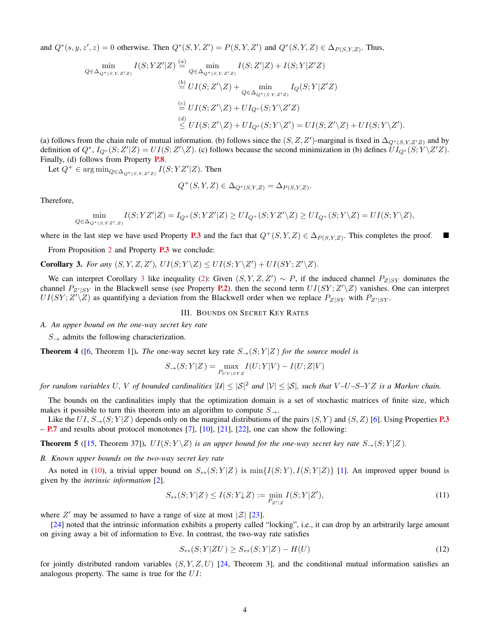and  $Q^*(s, y, z', z) = 0$  otherwise. Then  $Q^*(S, Y, Z') = P(S, Y, Z')$  and  $Q^*(S, Y, Z) \in \Delta_{P(S, Y, Z)}$ . Thus,

$$
\min_{Q \in \Delta_{Q^*(S,Y,Z'Z)}} I(S; YZ'|Z) \stackrel{(a)}{=} \min_{Q \in \Delta_{Q^*(S,Y,Z'Z)}} I(S; Z'|Z) + I(S; Y|Z'Z)
$$
\n
$$
\stackrel{(b)}{=} UI(S; Z'\backslash Z) + \min_{Q \in \Delta_{Q^*(S,Y,Z'Z)}} I_Q(S; Y|Z'Z)
$$
\n
$$
\stackrel{(c)}{=} UI(S; Z'\backslash Z) + UI_{Q^*(S; Y\backslash Z'Z)}
$$
\n
$$
\stackrel{(d)}{\leq} UI(S; Z'\backslash Z) + UI_{Q^*(S; Y\backslash Z') } = UI(S; Z'\backslash Z) + UI(S; Y\backslash Z').
$$

(a) follows from the chain rule of mutual information. (b) follows since the  $(S, Z, Z')$ -marginal is fixed in  $\Delta_{Q^*(S, Y, Z'Z)}$  and by definition of  $Q^*$ ,  $I_{Q^*}(S;Z'|Z) = UI(S;Z'\Z)$ . (c) follows because the second minimization in (b) defines  $UI_{Q^*}(S;Y\Z'Z)$ . Finally, (d) follows from Property [P.8](#page-4-3).

Let  $Q^+ \in \arg \min_{Q \in \Delta_{Q^*(S,Y,Z'Z)}} I(S;YZ'|Z)$ . Then

$$
Q^+(S, Y, Z) \in \Delta_{Q^*(S, Y, Z)} = \Delta_{P(S, Y, Z)}
$$

Therefore,

$$
\min_{Q\in\Delta_{Q^*(S,YZ',Z)}}I(S;YZ'|Z)=I_{Q^+}(S;YZ'|Z)\ge UI_{Q^+}(S;YZ'\backslash Z)\ge UI_{Q^+}(S;Y\backslash Z)=UI(S;Y\backslash Z),
$$

where in the last step we have used Property [P.3](#page-4-4) and the fact that  $Q^+(S, Y, Z) \in \Delta_{P(S, Y, Z)}$ . This completes the proof.

From Proposition [2](#page-4-2) and Property **[P.3](#page-4-4)** we conclude:

<span id="page-5-3"></span>**Corollary 3.** For any  $(S, Y, Z, Z')$ ,  $UI(S; Y \setminus Z) \leq UI(S; Y \setminus Z') + UI(SY; Z' \setminus Z)$ .

We can interpret Corollary [3](#page-5-3) like inequality [\(2\)](#page-3-1): Given  $(S, Y, Z, Z') \sim P$ , if the induced channel  $P_{Z|SY}$  dominates the channel  $P_{Z'|SY}$  in the Blackwell sense (see Property **[P.2](#page-4-5)**). then the second term  $UI(SY; Z'\Z)$  vanishes. One can interpret  $UI(SY; Z'\Y)$  as quantifying a deviation from the Blackwell order when we replace  $P_{Z|SY}$  with  $P_{Z'|SY}$ .

# III. BOUNDS ON SECRET KEY RATES

<span id="page-5-1"></span><span id="page-5-0"></span>*A. An upper bound on the one-way secret key rate*

 $S_{\rightarrow}$  admits the following characterization.

**Theorem 4** ([\[6,](#page-8-6) Theorem 1]). *The* one-way secret key rate  $S_{\rightarrow}$  (S; Y|Z) *for the source model is* 

$$
S_{\rightarrow}(S;Y|Z) = \max_{P_{UV|SYZ}} I(U;Y|V) - I(U;Z|V)
$$

*for random variables* U, V *of bounded cardinalities*  $|U| \leq |S|^2$  *and*  $|V| \leq |S|$ , *such that*  $V-U-S-YZ$  *is a Markov chain.* 

The bounds on the cardinalities imply that the optimization domain is a set of stochastic matrices of finite size, which makes it possible to turn this theorem into an algorithm to compute  $S_{\rightarrow}$ .

Like the  $UI, S_{\rightarrow} (S; Y|Z)$  depends only on the marginal distributions of the pairs  $(S, Y)$  and  $(S, Z)$  [\[6\]](#page-8-6). Using Properties **[P.3](#page-4-4)** – [P.7](#page-4-6) and results about protocol monotones [\[7\]](#page-8-8), [\[10\]](#page-8-9), [\[21\]](#page-8-21), [\[22\]](#page-8-22), one can show the following:

<span id="page-5-5"></span>**Theorem 5** ([\[15,](#page-8-15) Theorem 37]).  $UI(S; Y \mid Z)$  *is an upper bound for the one-way secret key rate*  $S_{\rightarrow}(S; Y | Z)$ *.* 

<span id="page-5-2"></span>*B. Known upper bounds on the two-way secret key rate*

As noted in [\(10\)](#page-4-7), a trivial upper bound on  $S_{\leftrightarrow}(S; Y|Z)$  is  $\min\{I(S; Y), I(S; Y|Z)\}$  [\[1\]](#page-8-1). An improved upper bound is given by the *intrinsic information* [\[2\]](#page-8-2).

$$
S_{\leftrightarrow}(S;Y|Z) \le I(S;Y\downarrow Z) := \min_{P_{Z'|Z}} I(S;Y|Z'),\tag{11}
$$

.

where Z' may be assumed to have a range of size at most  $|\mathcal{Z}|$  [\[23\]](#page-8-23).

[\[24\]](#page-8-24) noted that the intrinsic information exhibits a property called "locking", i.e., it can drop by an arbitrarily large amount on giving away a bit of information to Eve. In contrast, the two-way rate satisfies

$$
S_{\leftrightarrow}(S;Y|ZU) \ge S_{\leftrightarrow}(S;Y|Z) - H(U)
$$
\n<sup>(12)</sup>

<span id="page-5-4"></span>for jointly distributed random variables  $(S, Y, Z, U)$  [\[24,](#page-8-24) Theorem 3], and the conditional mutual information satisfies an analogous property. The same is true for the UI: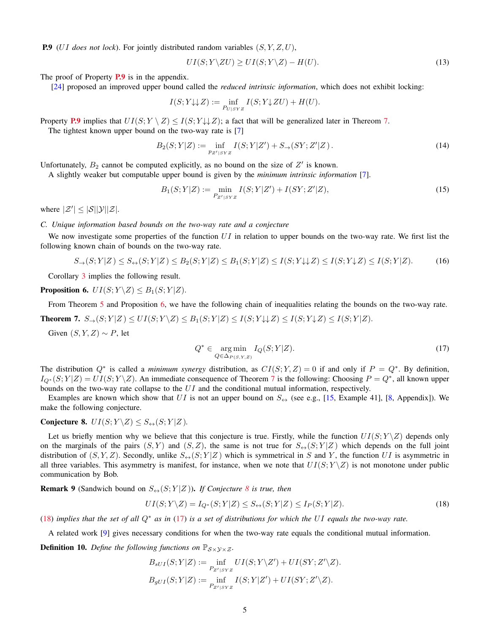P.9 (UI *does not lock*). For jointly distributed random variables (S, Y, Z, U),

$$
UI(S; Y \setminus ZU) \geq UI(S; Y \setminus Z) - H(U). \tag{13}
$$

The proof of Property **[P.9](#page-5-4)** is in the appendix.

[\[24\]](#page-8-24) proposed an improved upper bound called the *reduced intrinsic information*, which does not exhibit locking:

$$
I(S;Y\!\downarrow\downarrow\!Z):=\inf_{P_U|SYZ}I(S;Y\!\downarrow\!ZU)+H(U).
$$

Property [P.9](#page-5-4) implies that  $UI(S; Y \setminus Z) \leq I(S; Y \cup \cup Z)$ ; a fact that will be generalized later in Thereom [7.](#page-6-1)

The tightest known upper bound on the two-way rate is [\[7\]](#page-8-8)

$$
B_2(S;Y|Z) := \inf_{p_{Z'|S'Z}} I(S;Y|Z') + S_{\to}(SY;Z'|Z).
$$
 (14)

Unfortunately,  $B_2$  cannot be computed explicitly, as no bound on the size of  $Z'$  is known.

A slightly weaker but computable upper bound is given by the *minimum intrinsic information* [\[7\]](#page-8-8).

$$
B_1(S;Y|Z) := \min_{P_{Z'|SYZ}} I(S;Y|Z') + I(SY;Z'|Z),\tag{15}
$$

where  $|\mathcal{Z}'| \leq |\mathcal{S}||\mathcal{Y}||\mathcal{Z}|$ .

<span id="page-6-0"></span>*C. Unique information based bounds on the two-way rate and a conjecture*

We now investigate some properties of the function  $UI$  in relation to upper bounds on the two-way rate. We first list the following known chain of bounds on the two-way rate.

$$
S_{\rightarrow}(S;Y|Z) \le S_{\leftrightarrow}(S;Y|Z) \le B_2(S;Y|Z) \le B_1(S;Y|Z) \le I(S;Y\downarrow\downarrow Z) \le I(S;Y\downarrow\downarrow Z) \le I(S;Y|Z). \tag{16}
$$

Corollary [3](#page-5-3) implies the following result.

<span id="page-6-2"></span>**Proposition 6.**  $UI(S; Y \setminus Z) \leq B_1(S; Y | Z)$ .

From Theorem [5](#page-5-5) and Proposition [6,](#page-6-2) we have the following chain of inequalities relating the bounds on the two-way rate.

<span id="page-6-1"></span>**Theorem 7.**  $S_{\rightarrow}(S; Y|Z) \leq UI(S; Y \setminus Z) \leq B_1(S; Y|Z) \leq I(S; Y \cup Z) \leq I(S; Y \cup Z) \leq I(S; Y|Z).$ 

Given  $(S, Y, Z) \sim P$ , let

<span id="page-6-5"></span><span id="page-6-4"></span>
$$
Q^* \in \underset{Q \in \Delta_{P(S,Y,Z)}}{\text{arg min}} I_Q(S;Y|Z). \tag{17}
$$

The distribution  $Q^*$  is called a *minimum synergy* distribution, as  $CI(S; Y, Z) = 0$  if and only if  $P = Q^*$ . By definition,  $I_{Q^*}(S;Y|Z) = UI(S;Y\setminus Z)$ . An immediate consequence of Theorem [7](#page-6-1) is the following: Choosing  $P=Q^*$ , all known upper bounds on the two-way rate collapse to the  $UI$  and the conditional mutual information, respectively.

Examples are known which show that UI is not an upper bound on  $S_{\leftrightarrow}$  (see e.g., [\[15,](#page-8-15) Example 41], [\[8,](#page-8-14) Appendix]). We make the following conjecture.

# <span id="page-6-3"></span>Conjecture 8.  $UI(S; Y \setminus Z) \leq S_{\leftrightarrow}(S; Y | Z)$ *.*

Let us briefly mention why we believe that this conjecture is true. Firstly, while the function  $UI(S; Y \backslash Z)$  depends only on the marginals of the pairs  $(S, Y)$  and  $(S, Z)$ , the same is not true for  $S_{\leftrightarrow}(S; Y|Z)$  which depends on the full joint distribution of  $(S, Y, Z)$ . Secondly, unlike  $S \leftrightarrow (S; Y | Z)$  which is symmetrical in S and Y, the function UI is asymmetric in all three variables. This asymmetry is manifest, for instance, when we note that  $UI(S; Y \ X)$  is not monotone under public communication by Bob.

**Remark 9** (Sandwich bound on  $S_{\leftrightarrow}(S;Y|Z)$ ). *If Conjecture* [8](#page-6-3) *is true, then* 

$$
UI(S; Y \setminus Z) = I_{Q^*}(S; Y|Z) \le S_{\leftrightarrow}(S; Y|Z) \le I_P(S; Y|Z). \tag{18}
$$

[\(18\)](#page-6-4) *implies that the set of all* Q<sup>∗</sup> *as in* [\(17\)](#page-6-5) *is a set of distributions for which the* UI *equals the two-way rate.*

A related work [\[9\]](#page-8-7) gives necessary conditions for when the two-way rate equals the conditional mutual information.

**Definition 10.** *Define the following functions on*  $\mathbb{P}_{S \times Y \times Z}$ *.* 

$$
B_{sUI}(S;Y|Z) := \inf_{P_{Z'|SYZ}} UI(S;Y\backslash Z') + UI(SY;Z'\backslash Z).
$$
  

$$
B_{gUI}(S;Y|Z) := \inf_{P_{Z'|SYZ}} I(S;Y|Z') + UI(SY;Z'\backslash Z).
$$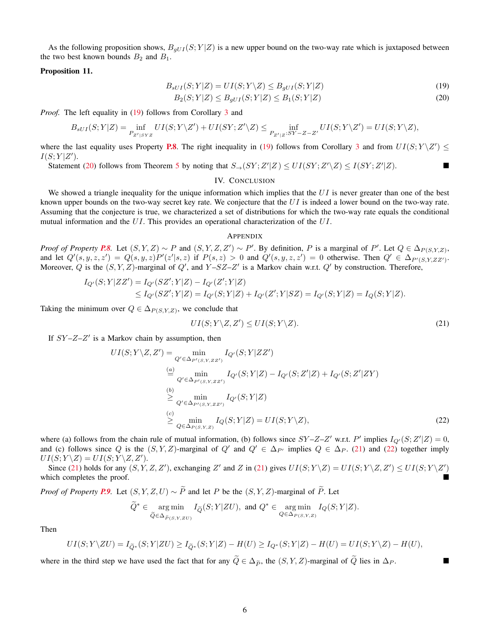As the following proposition shows,  $B_{gUI}(S; Y|Z)$  is a new upper bound on the two-way rate which is juxtaposed between the two best known bounds  $B_2$  and  $B_1$ .

#### Proposition 11.

$$
B_{sUI}(S;Y|Z) = UI(S;Y\setminus Z) \leq B_{gUI}(S;Y|Z)
$$
\n<sup>(19)</sup>

$$
B_2(S;Y|Z) \le B_{gUI}(S;Y|Z) \le B_1(S;Y|Z)
$$
\n(20)

*Proof.* The left equality in [\(19\)](#page-7-2) follows from Corollary [3](#page-5-3) and

$$
B_{sUI}(S;Y|Z) = \inf_{P_{Z'|SYZ}}UI(S;Y\backslash Z') + UI(SY;Z'\backslash Z) \leq \inf_{P_{Z'|Z}:SY-Z-Z'}UI(S;Y\backslash Z') = UI(S;Y\backslash Z),
$$

where the last equality uses Property [P.8](#page-4-3). The right inequality in [\(19\)](#page-7-2) follows from Corollary [3](#page-5-3) and from  $UI(S; Y \mid Z') \leq$  $I(S;Y|Z').$ 

Statement [\(20\)](#page-7-3) follows from Theorem [5](#page-5-5) by noting that  $S_\rightarrow (SY; Z'|Z) \leq UI(SY; Z'\setminus Z) \leq I(SY; Z'|Z)$ .

### <span id="page-7-3"></span><span id="page-7-2"></span>IV. CONCLUSION

<span id="page-7-0"></span>We showed a triangle inequality for the unique information which implies that the  $UI$  is never greater than one of the best known upper bounds on the two-way secret key rate. We conjecture that the  $UI$  is indeed a lower bound on the two-way rate. Assuming that the conjecture is true, we characterized a set of distributions for which the two-way rate equals the conditional mutual information and the UI. This provides an operational characterization of the UI.

# <span id="page-7-4"></span><span id="page-7-1"></span>APPENDIX

*Proof of Property* **[P.8](#page-4-3)**. Let  $(S, Y, Z) \sim P$  and  $(S, Y, Z, Z') \sim P'$ . By definition, P is a marginal of P'. Let  $Q \in \Delta_{P(S, Y, Z)}$ , and let  $Q'(s, y, z, z') = Q(s, y, z)P'(z'|s, z)$  if  $P(s, z) > 0$  and  $Q'(s, y, z, z') = 0$  otherwise. Then  $Q' \in \Delta_{P'(S, Y, ZZ')}$ . Moreover, Q is the  $(S, Y, Z)$ -marginal of  $Q'$ , and  $Y - SZ - Z'$  is a Markov chain w.r.t.  $Q'$  by construction. Therefore,

$$
\begin{aligned} I_{Q'}(S;Y|ZZ') &= I_{Q'}(SZ';Y|Z) - I_{Q'}(Z';Y|Z) \\ &\leq I_{Q'}(SZ';Y|Z) = I_{Q'}(S;Y|Z) + I_{Q'}(Z';Y|SZ) = I_{Q'}(S;Y|Z) = I_Q(S;Y|Z). \end{aligned}
$$

Taking the minimum over  $Q \in \Delta_{P(S,Y,Z)}$ , we conclude that

<span id="page-7-5"></span>
$$
UI(S; Y \setminus Z, Z') \leq UI(S; Y \setminus Z). \tag{21}
$$

If  $SY-Z-Z'$  is a Markov chain by assumption, then

$$
UI(S; Y \setminus Z, Z') = \min_{Q' \in \Delta_{P'(S,Y,ZZ')}} I_{Q'}(S; Y | Z Z')
$$
  
\n
$$
\stackrel{(a)}{=} \min_{Q' \in \Delta_{P'(S,Y,ZZ')}} I_{Q'}(S; Y | Z) - I_{Q'}(S; Z' | Z) + I_{Q'}(S; Z' | ZY)
$$
  
\n
$$
\stackrel{(b)}{\geq} \min_{Q' \in \Delta_{P'(S,Y,ZZ')}} I_{Q'}(S; Y | Z)
$$
  
\n
$$
\stackrel{(c)}{\geq} \min_{Q \in \Delta_{P(S,Y,Z)}} I_{Q}(S; Y | Z) = UI(S; Y \setminus Z),
$$
  
\n(22)

where (a) follows from the chain rule of mutual information, (b) follows since  $SY - Z - Z'$  w.r.t. P' implies  $I_{Q'}(S; Z'|Z) = 0$ , and (c) follows since Q is the  $(S, Y, Z)$ -marginal of Q' and  $Q' \in \Delta_{P'}$  implies  $Q \in \Delta_P$ . [\(21\)](#page-7-4) and [\(22\)](#page-7-5) together imply  $UI(S; Y \backslash Z) = UI(S; Y \backslash Z, Z').$ 

Since [\(21\)](#page-7-4) holds for any  $(S, Y, Z, Z')$ , exchanging Z' and Z in (21) gives  $UI(S; Y \setminus Z) = UI(S; Y \setminus Z, Z') \leq UI(S; Y \setminus Z')$ which completes the proof.

*Proof of Property* **[P.9](#page-5-4)***.* Let  $(S, Y, Z, U) \sim \widetilde{P}$  and let P be the  $(S, Y, Z)$ -marginal of  $\widetilde{P}$ *.* Let

$$
\widetilde{Q}^* \in \underset{\widetilde{Q} \in \Delta_{\widetilde{P}(S,Y,ZU)}}{\arg \min} I_{\widetilde{Q}}(S;Y|ZU), \text{ and } Q^* \in \underset{Q \in \Delta_{P(S,Y,Z)}}{\arg \min} I_Q(S;Y|Z).
$$

Then

$$
UI(S;Y\setminus ZU) = I_{\widetilde{Q}^*}(S;Y|ZU) \geq I_{\widetilde{Q}^*}(S;Y|Z) - H(U) \geq I_{Q^*}(S;Y|Z) - H(U) = UI(S;Y\setminus Z) - H(U),
$$

where in the third step we have used the fact that for any  $\tilde{Q} \in \Delta_{\tilde{P}}$ , the  $(S, Y, Z)$ -marginal of  $\tilde{Q}$  lies in  $\Delta_P$ .